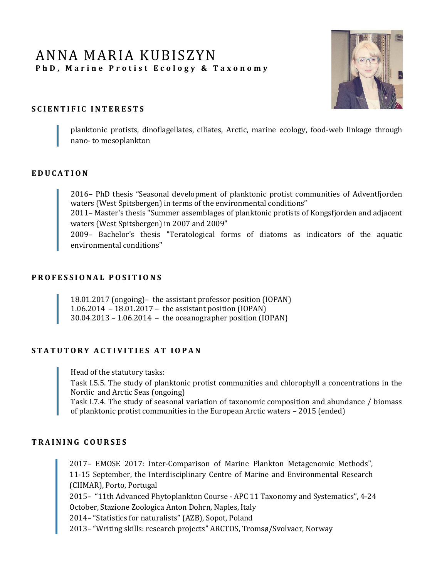# ANNA MARIA KUBISZYN PhD, Marine Protist Ecology & Taxonomy



### **S C I E N T I F I C I N T E R E S T S**

planktonic protists, dinoflagellates, ciliates, Arctic, marine ecology, food-web linkage through nano- to mesoplankton

#### **E D U C A T I O N**

2016– PhD thesis "Seasonal development of planktonic protist communities of Adventfjorden waters (West Spitsbergen) in terms of the environmental conditions"

2011– Master's thesis "Summer assemblages of planktonic protists of Kongsfjorden and adjacent waters (West Spitsbergen) in 2007 and 2009"

2009– Bachelor's thesis "Teratological forms of diatoms as indicators of the aquatic environmental conditions"

#### **P R O F E S S I O N A L P O S I T I O N S**

18.01.2017 (ongoing)– the assistant professor position (IOPAN) 1.06.2014 – 18.01.2017 – the assistant position (IOPAN) 30.04.2013 – 1.06.2014 – the oceanographer position (IOPAN)

#### **S T A T U T O R Y A C T I V I T I E S A T I O P A N**

Head of the statutory tasks:

Task I.5.5. The study of planktonic protist communities and chlorophyll a concentrations in the Nordic and Arctic Seas (ongoing)

Task I.7.4. The study of seasonal variation of taxonomic composition and abundance / biomass of planktonic protist communities in the European Arctic waters – 2015 (ended)

### **T R A I N I N G C O U R S E S**

2017– EMOSE 2017: Inter-Comparison of Marine Plankton Metagenomic Methods", 11-15 September, the Interdisciplinary Centre of Marine and Environmental Research (CIIMAR), Porto, Portugal

2015– "11th Advanced Phytoplankton Course - APC 11 Taxonomy and Systematics", 4-24 October, Stazione Zoologica Anton Dohrn, Naples, Italy

2014– "Statistics for naturalists" (AZB), Sopot, Poland

2013– "Writing skills: research projects" ARCTOS, Tromsø/Svolvaer, Norway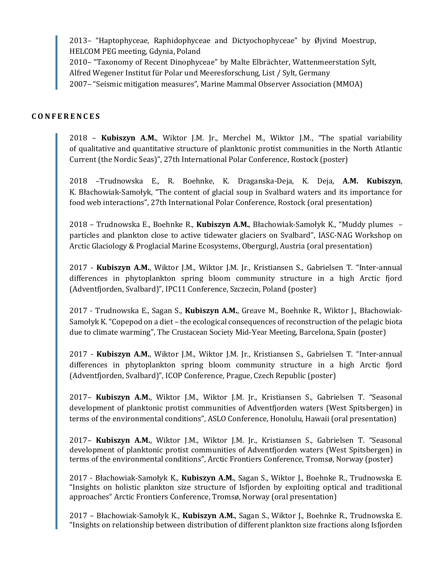2013– "Haptophyceae, Raphidophyceae and Dictyochophyceae" by Øjvind Moestrup, HELCOM PEG meeting, Gdynia, Poland

2010– "Taxonomy of Recent Dinophyceae" by Malte Elbrächter, Wattenmeerstation Sylt, Alfred Wegener Institut für Polar und Meeresforschung, List / Sylt, Germany

2007– "Seismic mitigation measures", Marine Mammal Observer Association (MMOA)

## **C O N F E R E N C E S**

2018 – **Kubiszyn A.M.**, Wiktor J.M. Jr., Merchel M., Wiktor J.M., "The spatial variability of qualitative and quantitative structure of planktonic protist communities in the North Atlantic Current (the Nordic Seas)", 27th International Polar Conference, Rostock (poster)

2018 –Trudnowska E., R. Boehnke, K. Draganska-Deja, K. Deja, **A.M. Kubiszyn**, K. Błachowiak-Samołyk, "The content of glacial soup in Svalbard waters and its importance for food web interactions", 27th International Polar Conference, Rostock (oral presentation)

2018 – Trudnowska E., Boehnke R., **Kubiszyn A.M.**, Błachowiak-Samołyk K., "Muddy plumes – particles and plankton close to active tidewater glaciers on Svalbard", IASC-NAG Workshop on Arctic Glaciology & Proglacial Marine Ecosystems, Obergurgl, Austria (oral presentation)

2017 - **Kubiszyn A.M.**, Wiktor J.M., Wiktor J.M. Jr., Kristiansen S., Gabrielsen T. "Inter-annual differences in phytoplankton spring bloom community structure in a high Arctic fjord (Adventfjorden, Svalbard)", IPC11 Conference, Szczecin, Poland (poster)

2017 - Trudnowska E., Sagan S., **Kubiszyn A.M.**, Greave M., Boehnke R., Wiktor J., Błachowiak-Samołyk K. "Copepod on a diet – the ecological consequences of reconstruction of the pelagic biota due to climate warming", The Crustacean Society Mid-Year Meeting, Barcelona, Spain (poster)

2017 - **Kubiszyn A.M.**, Wiktor J.M., Wiktor J.M. Jr., Kristiansen S., Gabrielsen T. "Inter-annual differences in phytoplankton spring bloom community structure in a high Arctic fjord (Adventfjorden, Svalbard)", ICOP Conference, Prague, Czech Republic (poster)

2017– **Kubiszyn A.M.**, Wiktor J.M., Wiktor J.M. Jr., Kristiansen S., Gabrielsen T. "Seasonal development of planktonic protist communities of Adventfjorden waters (West Spitsbergen) in terms of the environmental conditions", ASLO Conference, Honolulu, Hawaii (oral presentation)

2017– **Kubiszyn A.M.**, Wiktor J.M., Wiktor J.M. Jr., Kristiansen S., Gabrielsen T. "Seasonal development of planktonic protist communities of Adventfjorden waters (West Spitsbergen) in terms of the environmental conditions", Arctic Frontiers Conference, Tromsø, Norway (poster)

2017 - Błachowiak-Samołyk K., **Kubiszyn A.M.**, Sagan S., Wiktor J., Boehnke R., Trudnowska E. "Insights on holistic plankton size structure of Isfjorden by exploiting optical and traditional approaches" Arctic Frontiers Conference, Tromsø, Norway (oral presentation)

2017 – Błachowiak-Samołyk K., **Kubiszyn A.M.**, Sagan S., Wiktor J., Boehnke R., Trudnowska E. "Insights on relationship between distribution of different plankton size fractions along Isfjorden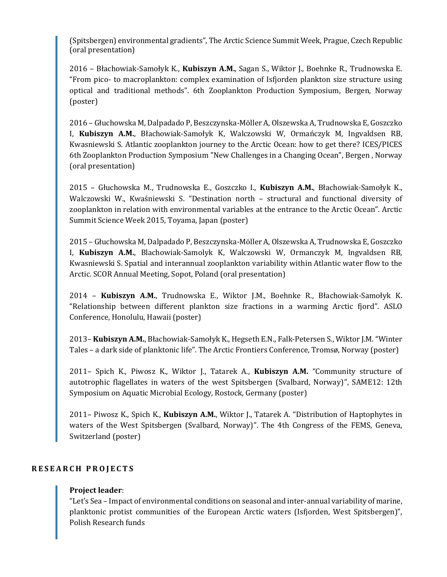(Spitsbergen) environmental gradients", The Arctic Science Summit Week, Prague, Czech Republic (oral presentation)

2016 – Błachowiak-Samołyk K., **Kubiszyn A.M.**, Sagan S., Wiktor J., Boehnke R., Trudnowska E. "From pico- to macroplankton: complex examination of Isfjorden plankton size structure using optical and traditional methods". 6th Zooplankton Production Symposium, Bergen, Norway (poster)

2016 – Głuchowska M, Dalpadado P, Beszczynska-Möller A, Olszewska A, Trudnowska E, Goszczko I, **Kubiszyn A.M.**, Błachowiak-Samołyk K, Walczowski W, Ormańczyk M, Ingvaldsen RB, Kwasniewski S. Atlantic zooplankton journey to the Arctic Ocean: how to get there? ICES/PICES 6th Zooplankton Production Symposium "New Challenges in a Changing Ocean", Bergen , Norway (oral presentation)

2015 – Głuchowska M., Trudnowska E., Goszczko I., **Kubiszyn A.M.**, Błachowiak-Samołyk K., Walczowski W., Kwaśniewski S. "Destination north – structural and functional diversity of zooplankton in relation with environmental variables at the entrance to the Arctic Ocean". Arctic Summit Science Week 2015, Toyama, Japan (poster)

2015 – Głuchowska M, Dalpadado P, Beszczynska-Möller A, Olszewska A, Trudnowska E, Goszczko I, **Kubiszyn A.M.**, Blachowiak-Samolyk K, Walczowski W, Ormanczyk M, Ingvaldsen RB, Kwasniewski S. Spatial and interannual zooplankton variability within Atlantic water flow to the Arctic. SCOR Annual Meeting, Sopot, Poland (oral presentation)

2014 – **Kubiszyn A.M.**, Trudnowska E., Wiktor J.M., Boehnke R., Błachowiak-Samołyk K. "Relationship between different plankton size fractions in a warming Arctic fjord". ASLO Conference, Honolulu, Hawaii (poster)

2013– **Kubiszyn A.M.**, Błachowiak-Samołyk K., Hegseth E.N., Falk-Petersen S., Wiktor J.M. "Winter Tales – a dark side of planktonic life". The Arctic Frontiers Conference, Tromsø, Norway (poster)

2011– Spich K., Piwosz K., Wiktor J., Tatarek A., **Kubiszyn A.M.** "Community structure of autotrophic flagellates in waters of the west Spitsbergen (Svalbard, Norway)", SAME12: 12th Symposium on Aquatic Microbial Ecology, Rostock, Germany (poster)

2011– Piwosz K., Spich K., **Kubiszyn A.M.**, Wiktor J., Tatarek A. "Distribution of Haptophytes in waters of the West Spitsbergen (Svalbard, Norway)". The 4th Congress of the FEMS, Geneva, Switzerland (poster)

#### **R E S E A R C H P R O J E C T S**

#### **Project leader**:

"Let's Sea – Impact of environmental conditions on seasonal and inter-annual variability of marine, planktonic protist communities of the European Arctic waters (Isfjorden, West Spitsbergen)", Polish Research funds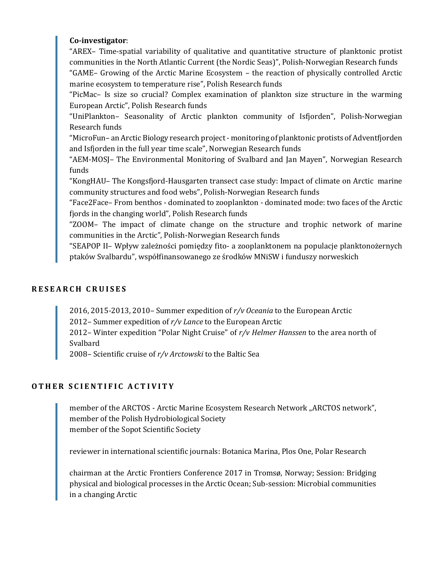## **Co-investigator**:

"AREX– Time-spatial variability of qualitative and quantitative structure of planktonic protist communities in the North Atlantic Current (the Nordic Seas)", Polish-Norwegian Research funds

"GAME– Growing of the Arctic Marine Ecosystem – the reaction of physically controlled Arctic marine ecosystem to temperature rise", Polish Research funds

"PicMac– Is size so crucial? Complex examination of plankton size structure in the warming European Arctic", Polish Research funds

"UniPlankton– Seasonality of Arctic plankton community of Isfjorden", Polish-Norwegian Research funds

"MicroFun– an Arctic Biology research project - monitoring of planktonic protists of Adventfjorden and Isfjorden in the full year time scale", Norwegian Research funds

"AEM-MOSJ– The Environmental Monitoring of Svalbard and Jan Mayen", Norwegian Research funds

"KongHAU– The Kongsfjord-Hausgarten transect case study: Impact of climate on Arctic marine community structures and food webs", Polish-Norwegian Research funds

"Face2Face– From benthos - dominated to zooplankton - dominated mode: two faces of the Arctic fjords in the changing world", Polish Research funds

"ZOOM– The impact of climate change on the structure and trophic network of marine communities in the Arctic", Polish-Norwegian Research funds

"SEAPOP II– Wpływ zależności pomiędzy fito- a zooplanktonem na populacje planktonożernych ptaków Svalbardu", współfinansowanego ze środków MNiSW i funduszy norweskich

# **R E S E A R C H C R U I S E S**

2016, 2015-2013, 2010– Summer expedition of *r/v Oceania* to the European Arctic

2012– Summer expedition of *r/v Lance* to the European Arctic

2012– Winter expedition "Polar Night Cruise" of *r/v Helmer Hanssen* to the area north of Svalbard

2008– Scientific cruise of *r/v Arctowski* to the Baltic Sea

# **O T H E R S C I E N T I F I C A C T I V I T Y**

member of the ARCTOS - Arctic Marine Ecosystem Research Network "ARCTOS network", member of the Polish Hydrobiological Society member of the Sopot Scientific Society

reviewer in international scientific journals: Botanica Marina, Plos One, Polar Research

chairman at the Arctic Frontiers Conference 2017 in Tromsø, Norway; Session: Bridging physical and biological processes in the Arctic Ocean; Sub-session: Microbial communities in a changing Arctic